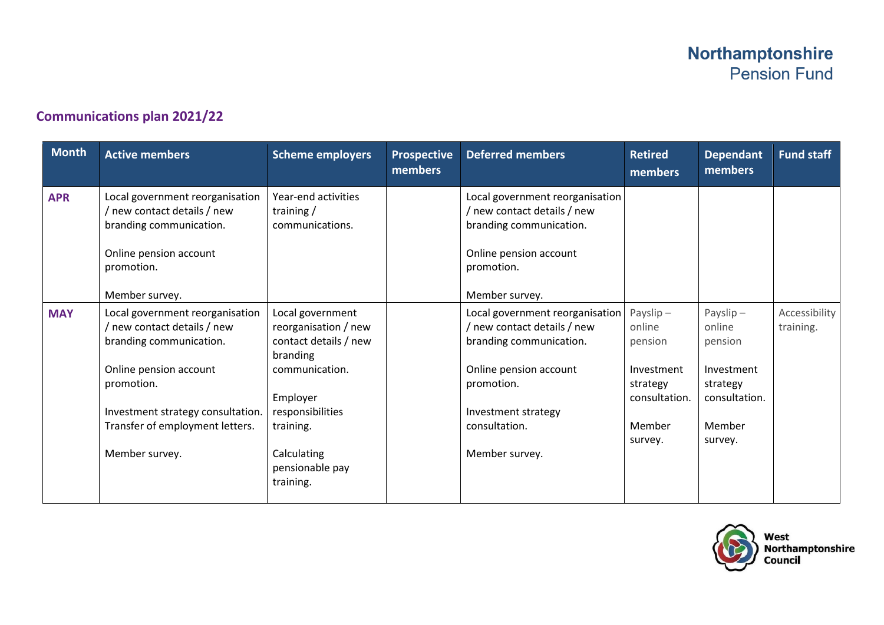## **Communications plan 2021/22**

| <b>Month</b> | <b>Active members</b>                                                                                        | <b>Scheme employers</b>                                                       | <b>Prospective</b><br>members | <b>Deferred members</b>                                                                   | <b>Retired</b><br>members                         | <b>Dependant</b><br>members                       | <b>Fund staff</b>          |
|--------------|--------------------------------------------------------------------------------------------------------------|-------------------------------------------------------------------------------|-------------------------------|-------------------------------------------------------------------------------------------|---------------------------------------------------|---------------------------------------------------|----------------------------|
| <b>APR</b>   | Local government reorganisation<br>new contact details / new<br>branding communication.                      | Year-end activities<br>training $/$<br>communications.                        |                               | Local government reorganisation<br>/ new contact details / new<br>branding communication. |                                                   |                                                   |                            |
|              | Online pension account<br>promotion.                                                                         |                                                                               |                               | Online pension account<br>promotion.                                                      |                                                   |                                                   |                            |
|              | Member survey.                                                                                               |                                                                               |                               | Member survey.                                                                            |                                                   |                                                   |                            |
| <b>MAY</b>   | Local government reorganisation<br>/ new contact details / new<br>branding communication.                    | Local government<br>reorganisation / new<br>contact details / new<br>branding |                               | Local government reorganisation<br>/ new contact details / new<br>branding communication. | Payslip $-$<br>online<br>pension                  | Payslip $-$<br>online<br>pension                  | Accessibility<br>training. |
|              | Online pension account<br>promotion.<br>Investment strategy consultation.<br>Transfer of employment letters. | communication.<br>Employer<br>responsibilities<br>training.                   |                               | Online pension account<br>promotion.<br>Investment strategy<br>consultation.              | Investment<br>strategy<br>consultation.<br>Member | Investment<br>strategy<br>consultation.<br>Member |                            |
|              | Member survey.                                                                                               | Calculating<br>pensionable pay<br>training.                                   |                               | Member survey.                                                                            | survey.                                           | survey.                                           |                            |



West<br>Northamptonshire<br>Council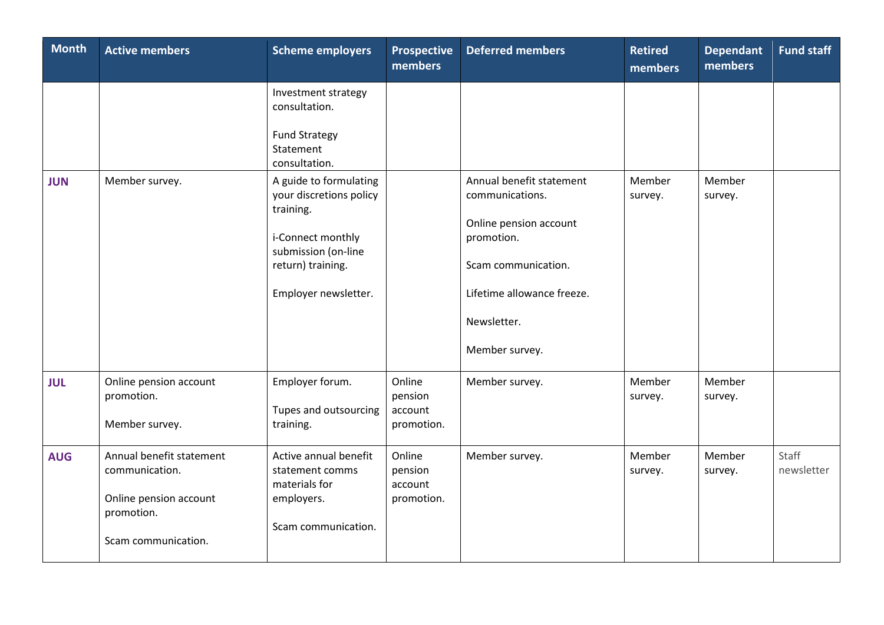| <b>Month</b> | <b>Active members</b>                                                                                     | <b>Scheme employers</b>                                                                                                                                 | <b>Prospective</b><br>members              | <b>Deferred members</b>                                                                                                                                                   | <b>Retired</b><br>members | <b>Dependant</b><br>members | <b>Fund staff</b>   |
|--------------|-----------------------------------------------------------------------------------------------------------|---------------------------------------------------------------------------------------------------------------------------------------------------------|--------------------------------------------|---------------------------------------------------------------------------------------------------------------------------------------------------------------------------|---------------------------|-----------------------------|---------------------|
|              |                                                                                                           | Investment strategy<br>consultation.<br><b>Fund Strategy</b><br>Statement<br>consultation.                                                              |                                            |                                                                                                                                                                           |                           |                             |                     |
| <b>JUN</b>   | Member survey.                                                                                            | A guide to formulating<br>your discretions policy<br>training.<br>i-Connect monthly<br>submission (on-line<br>return) training.<br>Employer newsletter. |                                            | Annual benefit statement<br>communications.<br>Online pension account<br>promotion.<br>Scam communication.<br>Lifetime allowance freeze.<br>Newsletter.<br>Member survey. | Member<br>survey.         | Member<br>survey.           |                     |
| <b>JUL</b>   | Online pension account<br>promotion.<br>Member survey.                                                    | Employer forum.<br>Tupes and outsourcing<br>training.                                                                                                   | Online<br>pension<br>account<br>promotion. | Member survey.                                                                                                                                                            | Member<br>survey.         | Member<br>survey.           |                     |
| <b>AUG</b>   | Annual benefit statement<br>communication.<br>Online pension account<br>promotion.<br>Scam communication. | Active annual benefit<br>statement comms<br>materials for<br>employers.<br>Scam communication.                                                          | Online<br>pension<br>account<br>promotion. | Member survey.                                                                                                                                                            | Member<br>survey.         | Member<br>survey.           | Staff<br>newsletter |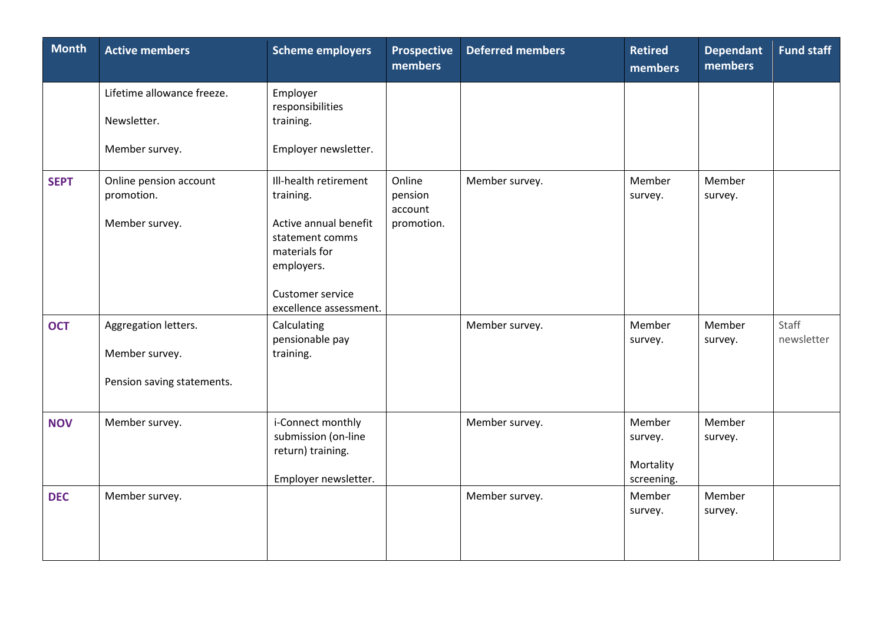| <b>Month</b> | <b>Active members</b>                                                | <b>Scheme employers</b>                                                                                                                                     | <b>Prospective</b><br>members              | <b>Deferred members</b> | <b>Retired</b><br>members                    | <b>Dependant</b><br>members | Fund staff          |
|--------------|----------------------------------------------------------------------|-------------------------------------------------------------------------------------------------------------------------------------------------------------|--------------------------------------------|-------------------------|----------------------------------------------|-----------------------------|---------------------|
|              | Lifetime allowance freeze.<br>Newsletter.<br>Member survey.          | Employer<br>responsibilities<br>training.<br>Employer newsletter.                                                                                           |                                            |                         |                                              |                             |                     |
| <b>SEPT</b>  | Online pension account<br>promotion.<br>Member survey.               | Ill-health retirement<br>training.<br>Active annual benefit<br>statement comms<br>materials for<br>employers.<br>Customer service<br>excellence assessment. | Online<br>pension<br>account<br>promotion. | Member survey.          | Member<br>survey.                            | Member<br>survey.           |                     |
| <b>OCT</b>   | Aggregation letters.<br>Member survey.<br>Pension saving statements. | Calculating<br>pensionable pay<br>training.                                                                                                                 |                                            | Member survey.          | Member<br>survey.                            | Member<br>survey.           | Staff<br>newsletter |
| <b>NOV</b>   | Member survey.                                                       | i-Connect monthly<br>submission (on-line<br>return) training.<br>Employer newsletter.                                                                       |                                            | Member survey.          | Member<br>survey.<br>Mortality<br>screening. | Member<br>survey.           |                     |
| <b>DEC</b>   | Member survey.                                                       |                                                                                                                                                             |                                            | Member survey.          | Member<br>survey.                            | Member<br>survey.           |                     |